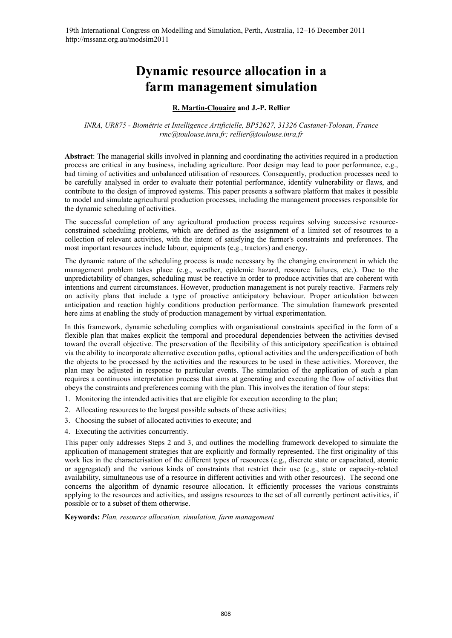# **Dynamic resource allocation in a farm management simulation**

## **R. Martin-Clouaire and J.-P. Rellier**

*INRA, UR875 - Biométrie et Intelligence Artificielle, BP52627, 31326 Castanet-Tolosan, France rmc@toulouse.inra.fr; rellier@toulouse.inra.fr*

**Abstract**: The managerial skills involved in planning and coordinating the activities required in a production process are critical in any business, including agriculture. Poor design may lead to poor performance, e.g., bad timing of activities and unbalanced utilisation of resources. Consequently, production processes need to be carefully analysed in order to evaluate their potential performance, identify vulnerability or flaws, and contribute to the design of improved systems. This paper presents a software platform that makes it possible to model and simulate agricultural production processes, including the management processes responsible for the dynamic scheduling of activities.

The successful completion of any agricultural production process requires solving successive resourceconstrained scheduling problems, which are defined as the assignment of a limited set of resources to a collection of relevant activities, with the intent of satisfying the farmer's constraints and preferences. The most important resources include labour, equipments (e.g., tractors) and energy.

The dynamic nature of the scheduling process is made necessary by the changing environment in which the management problem takes place (e.g., weather, epidemic hazard, resource failures, etc.). Due to the unpredictability of changes, scheduling must be reactive in order to produce activities that are coherent with intentions and current circumstances. However, production management is not purely reactive. Farmers rely on activity plans that include a type of proactive anticipatory behaviour. Proper articulation between anticipation and reaction highly conditions production performance. The simulation framework presented here aims at enabling the study of production management by virtual experimentation.

In this framework, dynamic scheduling complies with organisational constraints specified in the form of a flexible plan that makes explicit the temporal and procedural dependencies between the activities devised toward the overall objective. The preservation of the flexibility of this anticipatory specification is obtained via the ability to incorporate alternative execution paths, optional activities and the underspecification of both the objects to be processed by the activities and the resources to be used in these activities. Moreover, the plan may be adjusted in response to particular events. The simulation of the application of such a plan requires a continuous interpretation process that aims at generating and executing the flow of activities that obeys the constraints and preferences coming with the plan. This involves the iteration of four steps:

- 1. Monitoring the intended activities that are eligible for execution according to the plan;
- 2. Allocating resources to the largest possible subsets of these activities;
- 3. Choosing the subset of allocated activities to execute; and
- 4. Executing the activities concurrently.

This paper only addresses Steps 2 and 3, and outlines the modelling framework developed to simulate the application of management strategies that are explicitly and formally represented. The first originality of this work lies in the characterisation of the different types of resources (e.g., discrete state or capacitated, atomic or aggregated) and the various kinds of constraints that restrict their use (e.g., state or capacity-related availability, simultaneous use of a resource in different activities and with other resources). The second one concerns the algorithm of dynamic resource allocation. It efficiently processes the various constraints applying to the resources and activities, and assigns resources to the set of all currently pertinent activities, if possible or to a subset of them otherwise.

**Keywords:** *Plan, resource allocation, simulation, farm management*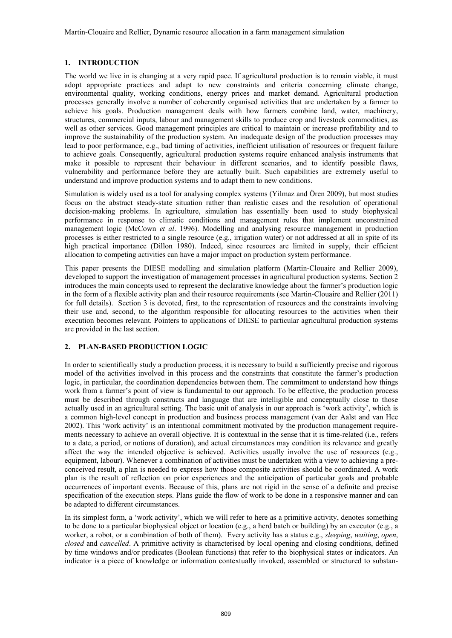Martin-Clouaire and Rellier, Dynamic resource allocation in a farm management simulation

## **1. INTRODUCTION**

The world we live in is changing at a very rapid pace. If agricultural production is to remain viable, it must adopt appropriate practices and adapt to new constraints and criteria concerning climate change, environmental quality, working conditions, energy prices and market demand. Agricultural production processes generally involve a number of coherently organised activities that are undertaken by a farmer to achieve his goals. Production management deals with how farmers combine land, water, machinery, structures, commercial inputs, labour and management skills to produce crop and livestock commodities, as well as other services. Good management principles are critical to maintain or increase profitability and to improve the sustainability of the production system. An inadequate design of the production processes may lead to poor performance, e.g., bad timing of activities, inefficient utilisation of resources or frequent failure to achieve goals. Consequently, agricultural production systems require enhanced analysis instruments that make it possible to represent their behaviour in different scenarios, and to identify possible flaws, vulnerability and performance before they are actually built. Such capabilities are extremely useful to understand and improve production systems and to adapt them to new conditions.

Simulation is widely used as a tool for analysing complex systems (Yilmaz and Ören 2009), but most studies focus on the abstract steady-state situation rather than realistic cases and the resolution of operational decision-making problems. In agriculture, simulation has essentially been used to study biophysical performance in response to climatic conditions and management rules that implement unconstrained management logic (McCown *et al*. 1996). Modelling and analysing resource management in production processes is either restricted to a single resource (e.g., irrigation water) or not addressed at all in spite of its high practical importance (Dillon 1980). Indeed, since resources are limited in supply, their efficient allocation to competing activities can have a major impact on production system performance.

This paper presents the DIESE modelling and simulation platform (Martin-Clouaire and Rellier 2009), developed to support the investigation of management processes in agricultural production systems. Section 2 introduces the main concepts used to represent the declarative knowledge about the farmer's production logic in the form of a flexible activity plan and their resource requirements (see Martin-Clouaire and Rellier (2011) for full details). Section 3 is devoted, first, to the representation of resources and the constraints involving their use and, second, to the algorithm responsible for allocating resources to the activities when their execution becomes relevant. Pointers to applications of DIESE to particular agricultural production systems are provided in the last section.

## **2. PLAN-BASED PRODUCTION LOGIC**

In order to scientifically study a production process, it is necessary to build a sufficiently precise and rigorous model of the activities involved in this process and the constraints that constitute the farmer's production logic, in particular, the coordination dependencies between them. The commitment to understand how things work from a farmer's point of view is fundamental to our approach. To be effective, the production process must be described through constructs and language that are intelligible and conceptually close to those actually used in an agricultural setting. The basic unit of analysis in our approach is 'work activity', which is a common high-level concept in production and business process management (van der Aalst and van Hee 2002). This 'work activity' is an intentional commitment motivated by the production management requirements necessary to achieve an overall objective. It is contextual in the sense that it is time-related (i.e., refers to a date, a period, or notions of duration), and actual circumstances may condition its relevance and greatly affect the way the intended objective is achieved. Activities usually involve the use of resources (e.g., equipment, labour). Whenever a combination of activities must be undertaken with a view to achieving a preconceived result, a plan is needed to express how those composite activities should be coordinated. A work plan is the result of reflection on prior experiences and the anticipation of particular goals and probable occurrences of important events. Because of this, plans are not rigid in the sense of a definite and precise specification of the execution steps. Plans guide the flow of work to be done in a responsive manner and can be adapted to different circumstances.

In its simplest form, a 'work activity', which we will refer to here as a primitive activity, denotes something to be done to a particular biophysical object or location (e.g., a herd batch or building) by an executor (e.g., a worker, a robot, or a combination of both of them). Every activity has a status e.g., *sleeping*, *waiting*, *open*, *closed* and *cancelled*. A primitive activity is characterised by local opening and closing conditions, defined by time windows and/or predicates (Boolean functions) that refer to the biophysical states or indicators. An indicator is a piece of knowledge or information contextually invoked, assembled or structured to substan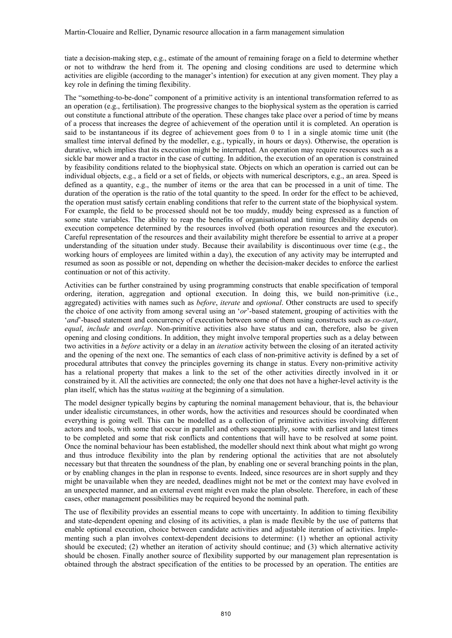tiate a decision-making step, e.g., estimate of the amount of remaining forage on a field to determine whether or not to withdraw the herd from it. The opening and closing conditions are used to determine which activities are eligible (according to the manager's intention) for execution at any given moment. They play a key role in defining the timing flexibility.

The "something-to-be-done" component of a primitive activity is an intentional transformation referred to as an operation (e.g., fertilisation). The progressive changes to the biophysical system as the operation is carried out constitute a functional attribute of the operation. These changes take place over a period of time by means of a process that increases the degree of achievement of the operation until it is completed. An operation is said to be instantaneous if its degree of achievement goes from 0 to 1 in a single atomic time unit (the smallest time interval defined by the modeller, e.g., typically, in hours or days). Otherwise, the operation is durative, which implies that its execution might be interrupted. An operation may require resources such as a sickle bar mower and a tractor in the case of cutting. In addition, the execution of an operation is constrained by feasibility conditions related to the biophysical state. Objects on which an operation is carried out can be individual objects, e.g., a field or a set of fields, or objects with numerical descriptors, e.g., an area. Speed is defined as a quantity, e.g., the number of items or the area that can be processed in a unit of time. The duration of the operation is the ratio of the total quantity to the speed. In order for the effect to be achieved, the operation must satisfy certain enabling conditions that refer to the current state of the biophysical system. For example, the field to be processed should not be too muddy, muddy being expressed as a function of some state variables. The ability to reap the benefits of organisational and timing flexibility depends on execution competence determined by the resources involved (both operation resources and the executor). Careful representation of the resources and their availability might therefore be essential to arrive at a proper understanding of the situation under study. Because their availability is discontinuous over time (e.g., the working hours of employees are limited within a day), the execution of any activity may be interrupted and resumed as soon as possible or not, depending on whether the decision-maker decides to enforce the earliest continuation or not of this activity.

Activities can be further constrained by using programming constructs that enable specification of temporal ordering, iteration, aggregation and optional execution. In doing this, we build non-primitive (i.e., aggregated) activities with names such as *before*, *iterate* and *optional*. Other constructs are used to specify the choice of one activity from among several using an '*or*'-based statement, grouping of activities with the '*and*'-based statement and concurrency of execution between some of them using constructs such as *co-start*, *equal*, *include* and *overlap*. Non-primitive activities also have status and can, therefore, also be given opening and closing conditions. In addition, they might involve temporal properties such as a delay between two activities in a *before* activity or a delay in an *iteration* activity between the closing of an iterated activity and the opening of the next one. The semantics of each class of non-primitive activity is defined by a set of procedural attributes that convey the principles governing its change in status. Every non-primitive activity has a relational property that makes a link to the set of the other activities directly involved in it or constrained by it. All the activities are connected; the only one that does not have a higher-level activity is the plan itself, which has the status *waiting* at the beginning of a simulation.

The model designer typically begins by capturing the nominal management behaviour, that is, the behaviour under idealistic circumstances, in other words, how the activities and resources should be coordinated when everything is going well. This can be modelled as a collection of primitive activities involving different actors and tools, with some that occur in parallel and others sequentially, some with earliest and latest times to be completed and some that risk conflicts and contentions that will have to be resolved at some point. Once the nominal behaviour has been established, the modeller should next think about what might go wrong and thus introduce flexibility into the plan by rendering optional the activities that are not absolutely necessary but that threaten the soundness of the plan, by enabling one or several branching points in the plan, or by enabling changes in the plan in response to events. Indeed, since resources are in short supply and they might be unavailable when they are needed, deadlines might not be met or the context may have evolved in an unexpected manner, and an external event might even make the plan obsolete. Therefore, in each of these cases, other management possibilities may be required beyond the nominal path.

The use of flexibility provides an essential means to cope with uncertainty. In addition to timing flexibility and state-dependent opening and closing of its activities, a plan is made flexible by the use of patterns that enable optional execution, choice between candidate activities and adjustable iteration of activities. Implementing such a plan involves context-dependent decisions to determine: (1) whether an optional activity should be executed; (2) whether an iteration of activity should continue; and (3) which alternative activity should be chosen. Finally another source of flexibility supported by our management plan representation is obtained through the abstract specification of the entities to be processed by an operation. The entities are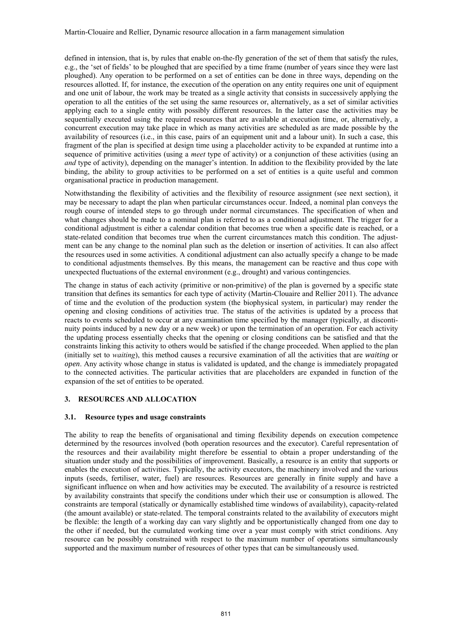defined in intension, that is, by rules that enable on-the-fly generation of the set of them that satisfy the rules, e.g., the 'set of fields' to be ploughed that are specified by a time frame (number of years since they were last ploughed). Any operation to be performed on a set of entities can be done in three ways, depending on the resources allotted. If, for instance, the execution of the operation on any entity requires one unit of equipment and one unit of labour, the work may be treated as a single activity that consists in successively applying the operation to all the entities of the set using the same resources or, alternatively, as a set of similar activities applying each to a single entity with possibly different resources. In the latter case the activities may be sequentially executed using the required resources that are available at execution time, or, alternatively, a concurrent execution may take place in which as many activities are scheduled as are made possible by the availability of resources (i.e., in this case, pairs of an equipment unit and a labour unit). In such a case, this fragment of the plan is specified at design time using a placeholder activity to be expanded at runtime into a sequence of primitive activities (using a *meet* type of activity) or a conjunction of these activities (using an *and* type of activity), depending on the manager's intention. In addition to the flexibility provided by the late binding, the ability to group activities to be performed on a set of entities is a quite useful and common organisational practice in production management.

Notwithstanding the flexibility of activities and the flexibility of resource assignment (see next section), it may be necessary to adapt the plan when particular circumstances occur. Indeed, a nominal plan conveys the rough course of intended steps to go through under normal circumstances. The specification of when and what changes should be made to a nominal plan is referred to as a conditional adjustment. The trigger for a conditional adjustment is either a calendar condition that becomes true when a specific date is reached, or a state-related condition that becomes true when the current circumstances match this condition. The adjustment can be any change to the nominal plan such as the deletion or insertion of activities. It can also affect the resources used in some activities. A conditional adjustment can also actually specify a change to be made to conditional adjustments themselves. By this means, the management can be reactive and thus cope with unexpected fluctuations of the external environment (e.g., drought) and various contingencies.

The change in status of each activity (primitive or non-primitive) of the plan is governed by a specific state transition that defines its semantics for each type of activity (Martin-Clouaire and Rellier 2011). The advance of time and the evolution of the production system (the biophysical system, in particular) may render the opening and closing conditions of activities true. The status of the activities is updated by a process that reacts to events scheduled to occur at any examination time specified by the manager (typically, at discontinuity points induced by a new day or a new week) or upon the termination of an operation. For each activity the updating process essentially checks that the opening or closing conditions can be satisfied and that the constraints linking this activity to others would be satisfied if the change proceeded. When applied to the plan (initially set to *waiting*), this method causes a recursive examination of all the activities that are *waiting* or *open*. Any activity whose change in status is validated is updated, and the change is immediately propagated to the connected activities. The particular activities that are placeholders are expanded in function of the expansion of the set of entities to be operated.

## **3. RESOURCES AND ALLOCATION**

### **3.1. Resource types and usage constraints**

The ability to reap the benefits of organisational and timing flexibility depends on execution competence determined by the resources involved (both operation resources and the executor). Careful representation of the resources and their availability might therefore be essential to obtain a proper understanding of the situation under study and the possibilities of improvement. Basically, a resource is an entity that supports or enables the execution of activities. Typically, the activity executors, the machinery involved and the various inputs (seeds, fertiliser, water, fuel) are resources. Resources are generally in finite supply and have a significant influence on when and how activities may be executed. The availability of a resource is restricted by availability constraints that specify the conditions under which their use or consumption is allowed. The constraints are temporal (statically or dynamically established time windows of availability), capacity-related (the amount available) or state-related. The temporal constraints related to the availability of executors might be flexible: the length of a working day can vary slightly and be opportunistically changed from one day to the other if needed, but the cumulated working time over a year must comply with strict conditions. Any resource can be possibly constrained with respect to the maximum number of operations simultaneously supported and the maximum number of resources of other types that can be simultaneously used.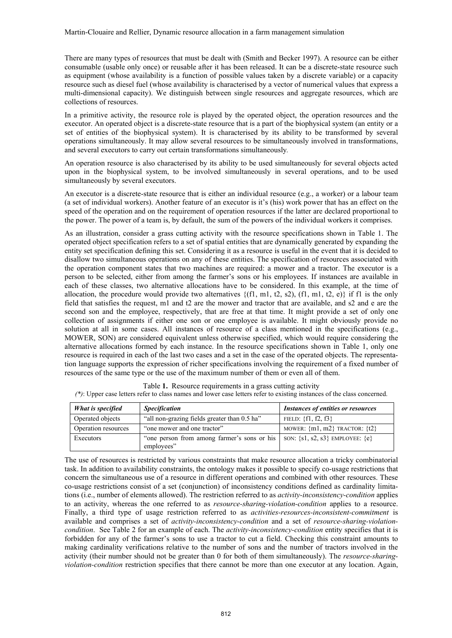There are many types of resources that must be dealt with (Smith and Becker 1997). A resource can be either consumable (usable only once) or reusable after it has been released. It can be a discrete-state resource such as equipment (whose availability is a function of possible values taken by a discrete variable) or a capacity resource such as diesel fuel (whose availability is characterised by a vector of numerical values that express a multi-dimensional capacity). We distinguish between single resources and aggregate resources, which are collections of resources.

In a primitive activity, the resource role is played by the operated object, the operation resources and the executor. An operated object is a discrete-state resource that is a part of the biophysical system (an entity or a set of entities of the biophysical system). It is characterised by its ability to be transformed by several operations simultaneously. It may allow several resources to be simultaneously involved in transformations, and several executors to carry out certain transformations simultaneously*.* 

An operation resource is also characterised by its ability to be used simultaneously for several objects acted upon in the biophysical system, to be involved simultaneously in several operations, and to be used simultaneously by several executors.

An executor is a discrete-state resource that is either an individual resource (e.g., a worker) or a labour team (a set of individual workers). Another feature of an executor is it's (his) work power that has an effect on the speed of the operation and on the requirement of operation resources if the latter are declared proportional to the power. The power of a team is, by default, the sum of the powers of the individual workers it comprises.

As an illustration, consider a grass cutting activity with the resource specifications shown in Table 1. The operated object specification refers to a set of spatial entities that are dynamically generated by expanding the entity set specification defining this set. Considering it as a resource is useful in the event that it is decided to disallow two simultaneous operations on any of these entities. The specification of resources associated with the operation component states that two machines are required: a mower and a tractor. The executor is a person to be selected, either from among the farmer's sons or his employees. If instances are available in each of these classes, two alternative allocations have to be considered. In this example, at the time of allocation, the procedure would provide two alternatives  $\{(f1, m1, t2, s2), (f1, m1, t2, e)\}\)$  if f1 is the only field that satisfies the request, m1 and t2 are the mower and tractor that are available, and s2 and e are the second son and the employee, respectively, that are free at that time. It might provide a set of only one collection of assignments if either one son or one employee is available. It might obviously provide no solution at all in some cases. All instances of resource of a class mentioned in the specifications (e.g., MOWER, SON) are considered equivalent unless otherwise specified, which would require considering the alternative allocations formed by each instance. In the resource specifications shown in Table 1, only one resource is required in each of the last two cases and a set in the case of the operated objects. The representation language supports the expression of richer specifications involving the requirement of a fixed number of resources of the same type or the use of the maximum number of them or even all of them.

| What is specified   | <b>Specification</b>                                                                                | <b>Instances of entities or resources</b> |
|---------------------|-----------------------------------------------------------------------------------------------------|-------------------------------------------|
| Operated objects    | "all non-grazing fields greater than 0.5 ha"                                                        | FIELD: ${f1, f2, f3}$                     |
| Operation resources | "one mower and one tractor"                                                                         | MOWER: $\{m1, m2\}$ TRACTOR: $\{t2\}$     |
| Executors           | "one person from among farmer's sons or his   SON: $\{s1, s2, s3\}$ EMPLOYEE: $\{e\}$<br>employees" |                                           |

Table **1.** Resource requirements in a grass cutting activity *(\*)*: Upper case letters refer to class names and lower case letters refer to existing instances of the class concerned.

The use of resources is restricted by various constraints that make resource allocation a tricky combinatorial task. In addition to availability constraints, the ontology makes it possible to specify co-usage restrictions that concern the simultaneous use of a resource in different operations and combined with other resources. These co-usage restrictions consist of a set (conjunction) of inconsistency conditions defined as cardinality limitations (i.e., number of elements allowed). The restriction referred to as *activity-inconsistency-condition* applies to an activity, whereas the one referred to as *resource-sharing-violation-condition* applies to a resource. Finally, a third type of usage restriction referred to as *activities-resources-inconsistent-commitment* is available and comprises a set of *activity-inconsistency-condition* and a set of *resource-sharing-violationcondition*. See Table 2 for an example of each. The *activity-inconsistency-condition* entity specifies that it is forbidden for any of the farmer's sons to use a tractor to cut a field. Checking this constraint amounts to making cardinality verifications relative to the number of sons and the number of tractors involved in the activity (their number should not be greater than 0 for both of them simultaneously). The *resource-sharingviolation-condition* restriction specifies that there cannot be more than one executor at any location. Again,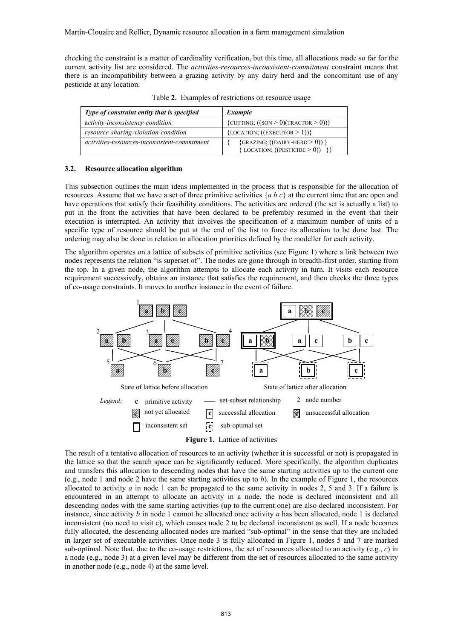checking the constraint is a matter of cardinality verification, but this time, all allocations made so far for the current activity list are considered. The *activities-resources-inconsistent-commitment* constraint means that there is an incompatibility between a grazing activity by any dairy herd and the concomitant use of any pesticide at any location.

| Type of constraint entity that is specified  | Example                                                                      |  |
|----------------------------------------------|------------------------------------------------------------------------------|--|
| activity-inconsistency-condition             | {CUTTING; $((\text{SON} > 0)(\text{TRACTOR} > 0))$ }                         |  |
| resource-sharing-violation-condition         | {LOCATION; $((\text{EXECUTOR} > 1))$ }                                       |  |
| activities-resources-inconsistent-commitment | $\{GRAZING; ((DAIRY-HERD > 0))\}$<br>{LOCATION; $((\text{PESTICIDE} > 0))$ } |  |

Table **2.** Examples of restrictions on resource usage

### **3.2. Resource allocation algorithm**

This subsection outlines the main ideas implemented in the process that is responsible for the allocation of resources. Assume that we have a set of three primitive activities {*a b c*} at the current time that are open and have operations that satisfy their feasibility conditions. The activities are ordered (the set is actually a list) to put in the front the activities that have been declared to be preferably resumed in the event that their execution is interrupted. An activity that involves the specification of a maximum number of units of a specific type of resource should be put at the end of the list to force its allocation to be done last. The ordering may also be done in relation to allocation priorities defined by the modeller for each activity.

The algorithm operates on a lattice of subsets of primitive activities (see Figure 1) where a link between two nodes represents the relation "is superset of". The nodes are gone through in breadth-first order, starting from the top. In a given node, the algorithm attempts to allocate each activity in turn. It visits each resource requirement successively, obtains an instance that satisfies the requirement, and then checks the three types of co-usage constraints. It moves to another instance in the event of failure.



**Figure 1.** Lattice of activities

The result of a tentative allocation of resources to an activity (whether it is successful or not) is propagated in the lattice so that the search space can be significantly reduced. More specifically, the algorithm duplicates and transfers this allocation to descending nodes that have the same starting activities up to the current one (e.g., node 1 and node 2 have the same starting activities up to  $b$ ). In the example of Figure 1, the resources allocated to activity *a* in node 1 can be propagated to the same activity in nodes 2, 5 and 3. If a failure is encountered in an attempt to allocate an activity in a node, the node is declared inconsistent and all descending nodes with the same starting activities (up to the current one) are also declared inconsistent. For instance, since activity *b* in node 1 cannot be allocated once activity *a* has been allocated, node 1 is declared inconsistent (no need to visit c), which causes node 2 to be declared inconsistent as well. If a node becomes fully allocated, the descending allocated nodes are marked "sub-optimal" in the sense that they are included in larger set of executable activities. Once node 3 is fully allocated in Figure 1, nodes 5 and 7 are marked sub-optimal. Note that, due to the co-usage restrictions, the set of resources allocated to an activity (e.g., *c*) in a node (e.g., node 3) at a given level may be different from the set of resources allocated to the same activity in another node (e.g., node 4) at the same level.